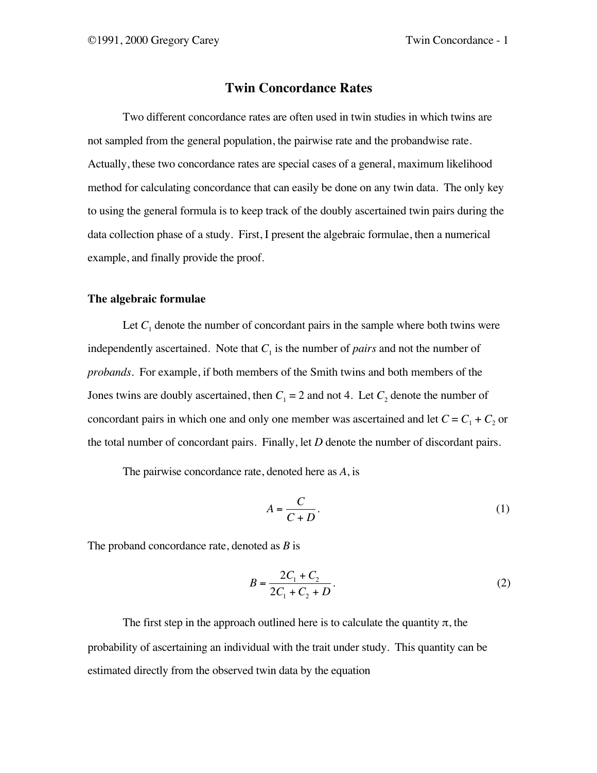# **Twin Concordance Rates**

Two different concordance rates are often used in twin studies in which twins are not sampled from the general population, the pairwise rate and the probandwise rate. Actually, these two concordance rates are special cases of a general, maximum likelihood method for calculating concordance that can easily be done on any twin data. The only key to using the general formula is to keep track of the doubly ascertained twin pairs during the data collection phase of a study. First, I present the algebraic formulae, then a numerical example, and finally provide the proof.

### **The algebraic formulae**

Let  $C_1$  denote the number of concordant pairs in the sample where both twins were independently ascertained. Note that  $C_1$  is the number of *pairs* and not the number of *probands*. For example, if both members of the Smith twins and both members of the Jones twins are doubly ascertained, then  $C_1 = 2$  and not 4. Let  $C_2$  denote the number of concordant pairs in which one and only one member was ascertained and let  $C = C_1 + C_2$  or the total number of concordant pairs. Finally, let *D* denote the number of discordant pairs.

The pairwise concordance rate, denoted here as *A*, is

$$
A = \frac{C}{C+D}.\tag{1}
$$

The proband concordance rate, denoted as *B* is

$$
B = \frac{2C_1 + C_2}{2C_1 + C_2 + D}.
$$
 (2)

The first step in the approach outlined here is to calculate the quantity  $\pi$ , the probability of ascertaining an individual with the trait under study. This quantity can be estimated directly from the observed twin data by the equation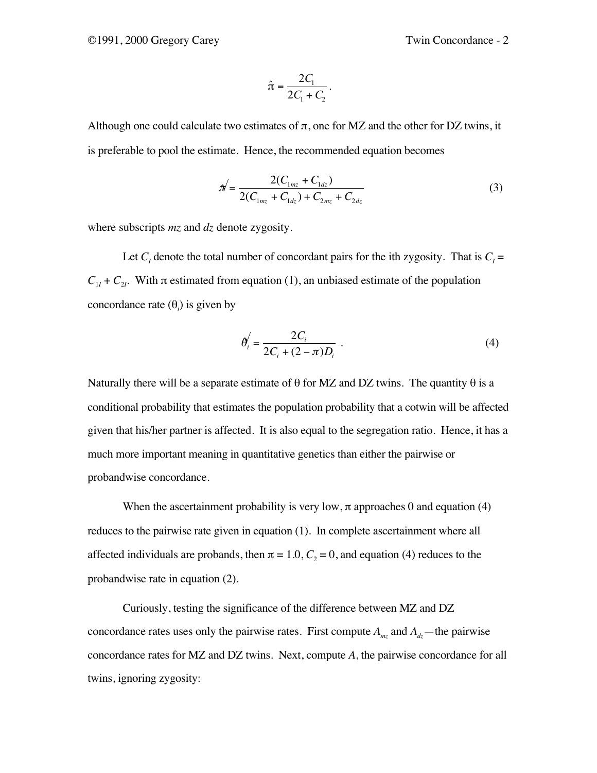$$
\hat{\pi} = \frac{2C_1}{2C_1 + C_2}.
$$

Although one could calculate two estimates of  $\pi$ , one for MZ and the other for DZ twins, it is preferable to pool the estimate. Hence, the recommended equation becomes

$$
\mathcal{N} = \frac{2(C_{1mz} + C_{1dz})}{2(C_{1mz} + C_{1dz}) + C_{2mz} + C_{2dz}}
$$
(3)

where subscripts *mz* and *dz* denote zygosity.

Let  $C<sub>I</sub>$  denote the total number of concordant pairs for the ith zygosity. That is  $C<sub>I</sub>$  =  $C_{1I}$  +  $C_{2I}$ . With  $\pi$  estimated from equation (1), an unbiased estimate of the population concordance rate  $(\theta_i)$  is given by

$$
\theta'_{i} = \frac{2C_{i}}{2C_{i} + (2 - \pi)D_{i}} \tag{4}
$$

Naturally there will be a separate estimate of  $\theta$  for MZ and DZ twins. The quantity  $\theta$  is a conditional probability that estimates the population probability that a cotwin will be affected given that his/her partner is affected. It is also equal to the segregation ratio. Hence, it has a much more important meaning in quantitative genetics than either the pairwise or probandwise concordance.

When the ascertainment probability is very low,  $\pi$  approaches 0 and equation (4) reduces to the pairwise rate given in equation (1). In complete ascertainment where all affected individuals are probands, then  $\pi = 1.0$ ,  $C_2 = 0$ , and equation (4) reduces to the probandwise rate in equation (2).

Curiously, testing the significance of the difference between MZ and DZ concordance rates uses only the pairwise rates. First compute  $A_{mz}$  and  $A_{dz}$ —the pairwise concordance rates for MZ and DZ twins. Next, compute *A*, the pairwise concordance for all twins, ignoring zygosity: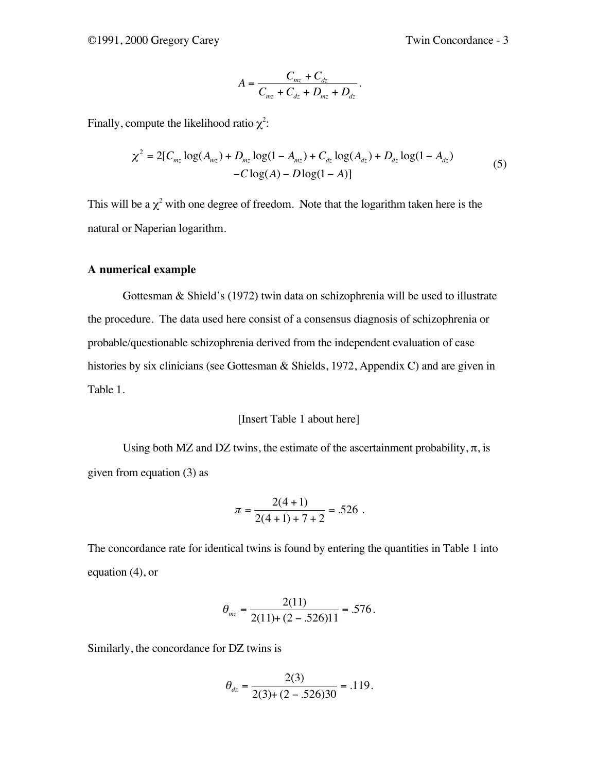$$
A = \frac{C_{mz} + C_{dz}}{C_{mz} + C_{dz} + D_{mz} + D_{dz}}.
$$

Finally, compute the likelihood ratio  $\chi^2$ :

$$
\chi^2 = 2[C_{mz} \log(A_{mz}) + D_{mz} \log(1 - A_{mz}) + C_{dz} \log(A_{dz}) + D_{dz} \log(1 - A_{dz}) - C \log(A) - D \log(1 - A)]
$$
\n(5)

This will be a  $\chi^2$  with one degree of freedom. Note that the logarithm taken here is the natural or Naperian logarithm.

## **A numerical example**

Gottesman & Shield's (1972) twin data on schizophrenia will be used to illustrate the procedure. The data used here consist of a consensus diagnosis of schizophrenia or probable/questionable schizophrenia derived from the independent evaluation of case histories by six clinicians (see Gottesman & Shields, 1972, Appendix C) and are given in Table 1.

## [Insert Table 1 about here]

Using both MZ and DZ twins, the estimate of the ascertainment probability,  $\pi$ , is given from equation (3) as

$$
\pi = \frac{2(4+1)}{2(4+1)+7+2} = .526
$$

The concordance rate for identical twins is found by entering the quantities in Table 1 into equation (4), or

$$
\theta_{mz} = \frac{2(11)}{2(11) + (2 - .526)11} = .576.
$$

Similarly, the concordance for DZ twins is

$$
\theta_{dz} = \frac{2(3)}{2(3) + (2 - .526)30} = .119.
$$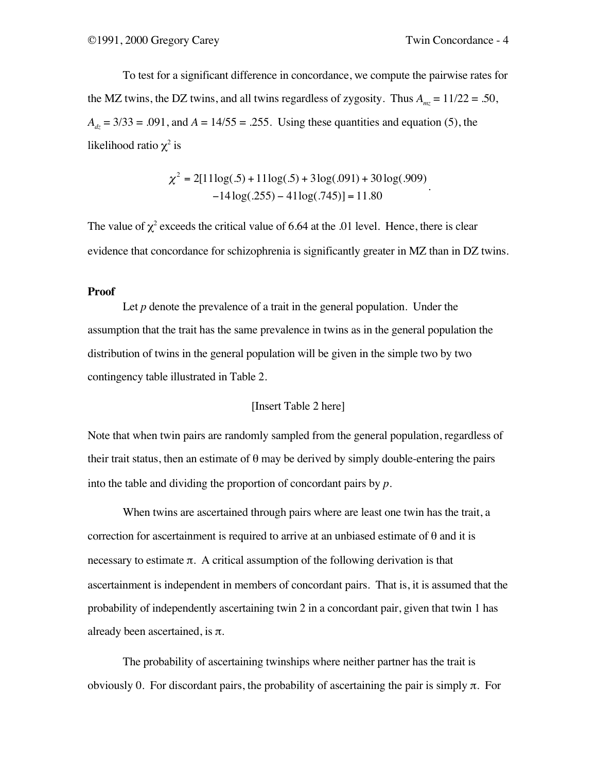To test for a significant difference in concordance, we compute the pairwise rates for the MZ twins, the DZ twins, and all twins regardless of zygosity. Thus  $A_{mz} = 11/22 = .50$ ,  $A_{dz} = 3/33 = .091$ , and  $A = 14/55 = .255$ . Using these quantities and equation (5), the likelihood ratio  $\chi^2$  is

$$
\chi^2 = 2[11\log(.5) + 11\log(.5) + 3\log(.091) + 30\log(.909) - 14\log(.255) - 41\log(.745)] = 11.80
$$

The value of  $\chi^2$  exceeds the critical value of 6.64 at the .01 level. Hence, there is clear evidence that concordance for schizophrenia is significantly greater in MZ than in DZ twins.

#### **Proof**

Let  $p$  denote the prevalence of a trait in the general population. Under the assumption that the trait has the same prevalence in twins as in the general population the distribution of twins in the general population will be given in the simple two by two contingency table illustrated in Table 2.

## [Insert Table 2 here]

Note that when twin pairs are randomly sampled from the general population, regardless of their trait status, then an estimate of  $\theta$  may be derived by simply double-entering the pairs into the table and dividing the proportion of concordant pairs by *p*.

When twins are ascertained through pairs where are least one twin has the trait, a correction for ascertainment is required to arrive at an unbiased estimate of  $\theta$  and it is necessary to estimate  $\pi$ . A critical assumption of the following derivation is that ascertainment is independent in members of concordant pairs. That is, it is assumed that the probability of independently ascertaining twin 2 in a concordant pair, given that twin 1 has already been ascertained, is  $\pi$ .

The probability of ascertaining twinships where neither partner has the trait is obviously 0. For discordant pairs, the probability of ascertaining the pair is simply π. For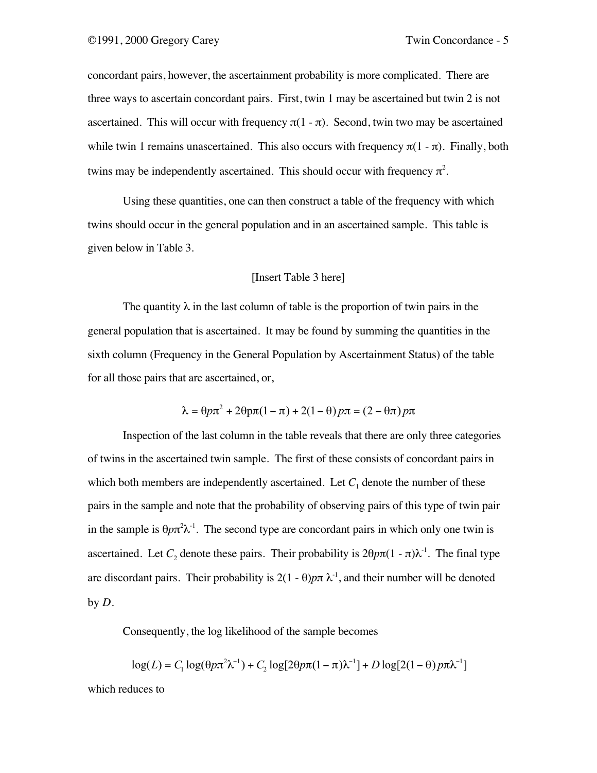concordant pairs, however, the ascertainment probability is more complicated. There are three ways to ascertain concordant pairs. First, twin 1 may be ascertained but twin 2 is not ascertained. This will occur with frequency  $π(1 - π)$ . Second, twin two may be ascertained while twin 1 remains unascertained. This also occurs with frequency  $\pi(1 - \pi)$ . Finally, both twins may be independently ascertained. This should occur with frequency  $\pi^2$ .

Using these quantities, one can then construct a table of the frequency with which twins should occur in the general population and in an ascertained sample. This table is given below in Table 3.

## [Insert Table 3 here]

The quantity  $\lambda$  in the last column of table is the proportion of twin pairs in the general population that is ascertained. It may be found by summing the quantities in the sixth column (Frequency in the General Population by Ascertainment Status) of the table for all those pairs that are ascertained, or,

$$
\lambda = \theta p \pi^2 + 2\theta p \pi (1 - \pi) + 2(1 - \theta) p \pi = (2 - \theta \pi) p \pi
$$

Inspection of the last column in the table reveals that there are only three categories of twins in the ascertained twin sample. The first of these consists of concordant pairs in which both members are independently ascertained. Let  $C_1$  denote the number of these pairs in the sample and note that the probability of observing pairs of this type of twin pair in the sample is  $\theta p \pi^2 \lambda^{-1}$ . The second type are concordant pairs in which only one twin is ascertained. Let *C*<sub>2</sub> denote these pairs. Their probability is  $2\theta p\pi(1 - \pi)\lambda^{-1}$ . The final type are discordant pairs. Their probability is  $2(1 - \theta)p\pi \lambda^{-1}$ , and their number will be denoted by *D*.

Consequently, the log likelihood of the sample becomes

$$
\log(L) = C_1 \log(\theta p \pi^2 \lambda^{-1}) + C_2 \log[2\theta p \pi (1 - \pi) \lambda^{-1}] + D \log[2(1 - \theta) p \pi \lambda^{-1}]
$$

which reduces to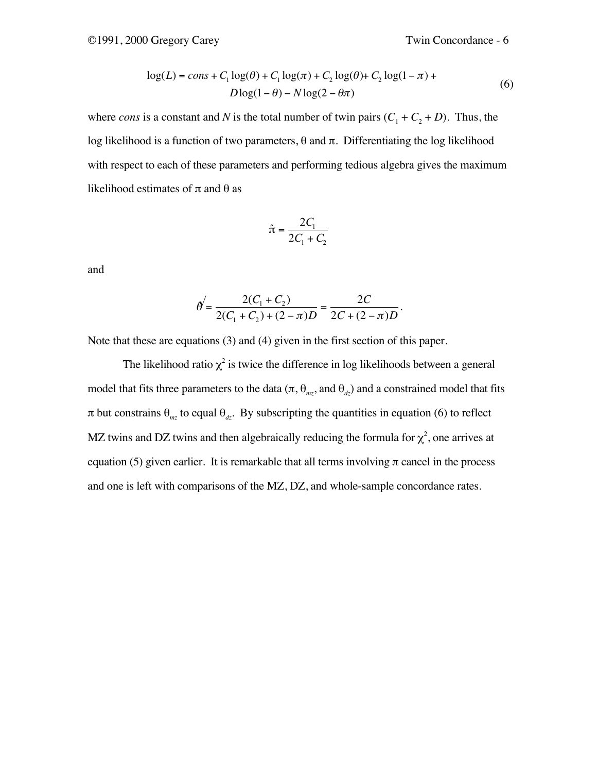$$
log(L) = const + C_1 log(\theta) + C_1 log(\pi) + C_2 log(\theta) + C_2 log(1 - \pi) + Dlog(1 - \theta) - Nlog(2 - \theta)\pi)
$$
\n(6)

where *cons* is a constant and *N* is the total number of twin pairs  $(C_1 + C_2 + D)$ . Thus, the log likelihood is a function of two parameters, θ and π. Differentiating the log likelihood with respect to each of these parameters and performing tedious algebra gives the maximum likelihood estimates of  $\pi$  and  $\theta$  as

$$
\hat{\pi} = \frac{2C_1}{2C_1 + C_2}
$$

and

$$
\theta' = \frac{2(C_1 + C_2)}{2(C_1 + C_2) + (2 - \pi)D} = \frac{2C}{2C + (2 - \pi)D}.
$$

Note that these are equations (3) and (4) given in the first section of this paper.

The likelihood ratio  $\chi^2$  is twice the difference in log likelihoods between a general model that fits three parameters to the data (π,  $\theta_{mz}$ , and  $\theta_{dz}$ ) and a constrained model that fits  $\pi$  but constrains  $\theta_{mg}$  to equal  $\theta_{dr}$ . By subscripting the quantities in equation (6) to reflect MZ twins and DZ twins and then algebraically reducing the formula for  $\chi^2$ , one arrives at equation (5) given earlier. It is remarkable that all terms involving  $\pi$  cancel in the process and one is left with comparisons of the MZ, DZ, and whole-sample concordance rates.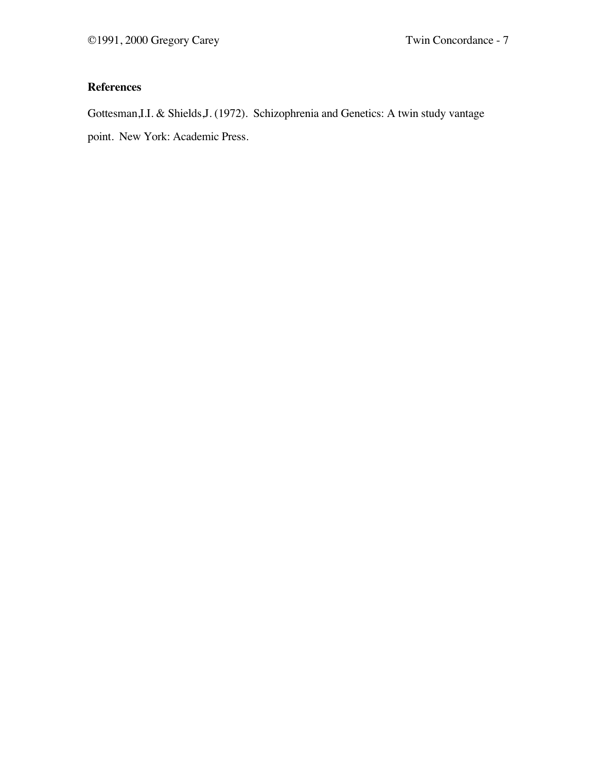# **References**

Gottesman,I.I. & Shields,J. (1972). Schizophrenia and Genetics: A twin study vantage point. New York: Academic Press.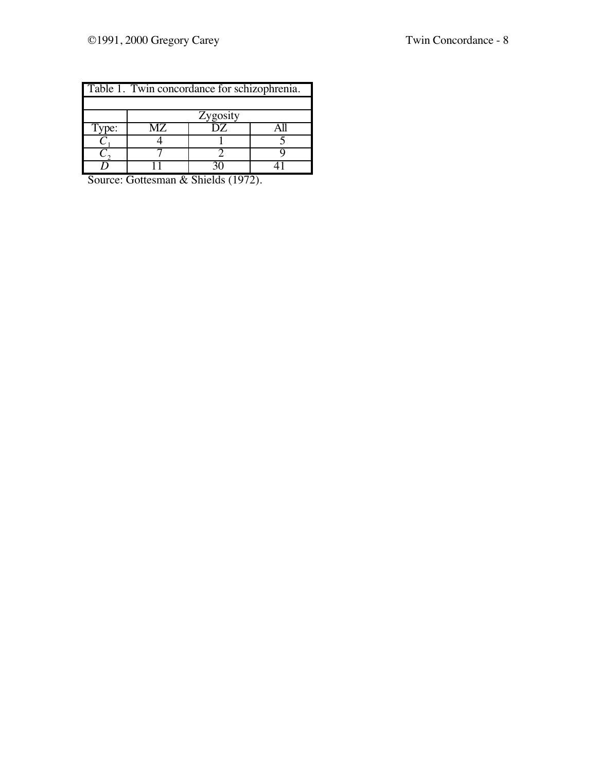| Table 1. Twin concordance for schizophrenia. |          |     |  |  |  |  |  |  |
|----------------------------------------------|----------|-----|--|--|--|--|--|--|
|                                              |          |     |  |  |  |  |  |  |
|                                              | Zygosity |     |  |  |  |  |  |  |
| Type:                                        | MZ.      | DZ. |  |  |  |  |  |  |
|                                              |          |     |  |  |  |  |  |  |
|                                              |          |     |  |  |  |  |  |  |
|                                              |          |     |  |  |  |  |  |  |

Source: Gottesman & Shields (1972).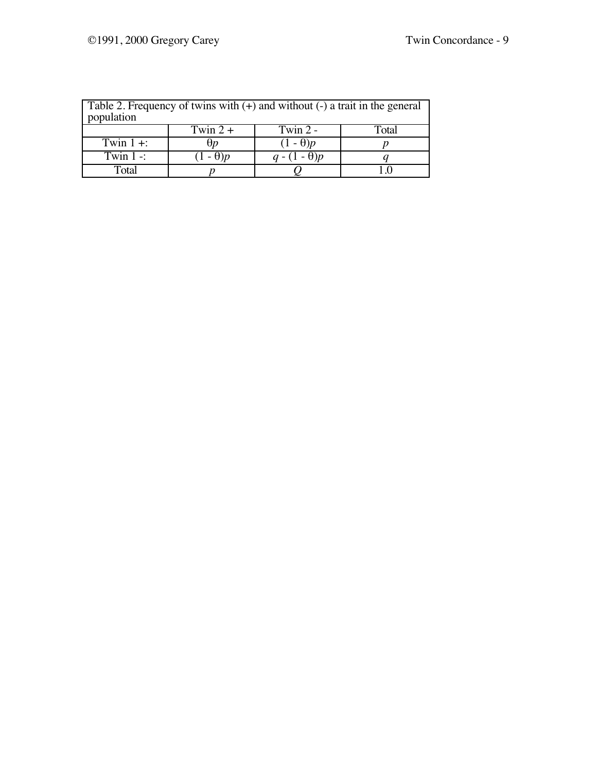| Table 2. Frequency of twins with $(+)$ and without $(-)$ a trait in the general<br>population |                 |                 |       |  |  |  |  |
|-----------------------------------------------------------------------------------------------|-----------------|-----------------|-------|--|--|--|--|
|                                                                                               | Twin $2 +$      | Twin $2 -$      | Fotal |  |  |  |  |
| Twin $1 +$ :                                                                                  | Ħп              | $(1 - \theta)p$ |       |  |  |  |  |
| Twin $1 -$ :                                                                                  | $(1 - \theta)p$ | $q-(1-\theta)p$ |       |  |  |  |  |
| Total                                                                                         |                 |                 |       |  |  |  |  |